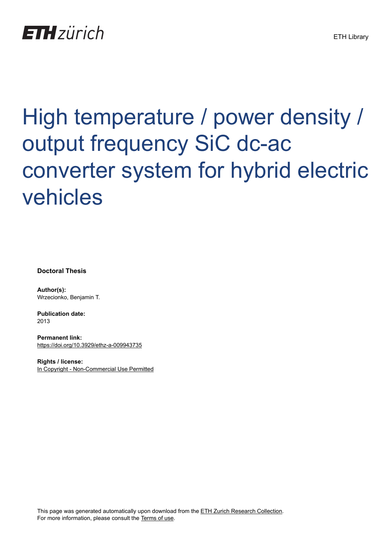# **ETH**zürich

# High temperature / power density / output frequency SiC dc-ac converter system for hybrid electric vehicles

**Doctoral Thesis**

**Author(s):** Wrzecionko, Benjamin T.

**Publication date:** 2013

**Permanent link:** <https://doi.org/10.3929/ethz-a-009943735>

**Rights / license:** [In Copyright - Non-Commercial Use Permitted](http://rightsstatements.org/page/InC-NC/1.0/)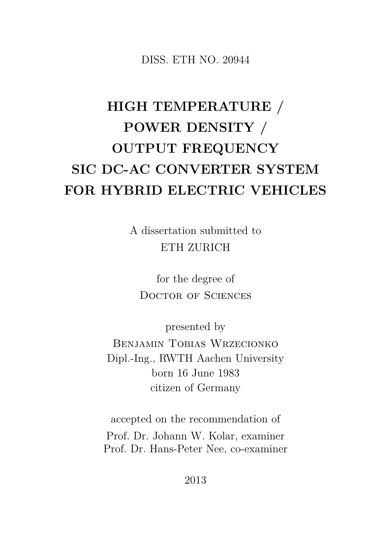DISS. ETH NO. 20944

#### **HIGH TEMPERATURE / POWER DENSITY / OUTPUT FREQUENCY SIC DC-AC CONVERTER SYSTEM FOR HYBRID ELECTRIC VEHICLES**

A dissertation submitted to ETH ZURICH

for the degree of DOCTOR OF SCIENCES

presented by

Benjamin Tobias Wrzecionko Dipl.-Ing., RWTH Aachen University born 16 June 1983 citizen of Germany

accepted on the recommendation of Prof. Dr. Johann W. Kolar, examiner Prof. Dr. Hans-Peter Nee, co-examiner

2013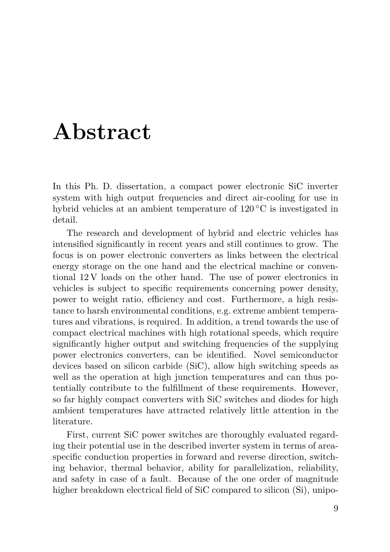### **Abstract**

In this Ph. D. dissertation, a compact power electronic SiC inverter system with high output frequencies and direct air-cooling for use in hybrid vehicles at an ambient temperature of 120 ◦C is investigated in detail.

The research and development of hybrid and electric vehicles has intensified significantly in recent years and still continues to grow. The focus is on power electronic converters as links between the electrical energy storage on the one hand and the electrical machine or conventional 12 V loads on the other hand. The use of power electronics in vehicles is subject to specific requirements concerning power density, power to weight ratio, efficiency and cost. Furthermore, a high resistance to harsh environmental conditions, e.g. extreme ambient temperatures and vibrations, is required. In addition, a trend towards the use of compact electrical machines with high rotational speeds, which require significantly higher output and switching frequencies of the supplying power electronics converters, can be identified. Novel semiconductor devices based on silicon carbide (SiC), allow high switching speeds as well as the operation at high junction temperatures and can thus potentially contribute to the fulfillment of these requirements. However, so far highly compact converters with SiC switches and diodes for high ambient temperatures have attracted relatively little attention in the literature.

First, current SiC power switches are thoroughly evaluated regarding their potential use in the described inverter system in terms of areaspecific conduction properties in forward and reverse direction, switching behavior, thermal behavior, ability for parallelization, reliability, and safety in case of a fault. Because of the one order of magnitude higher breakdown electrical field of SiC compared to silicon (Si), unipo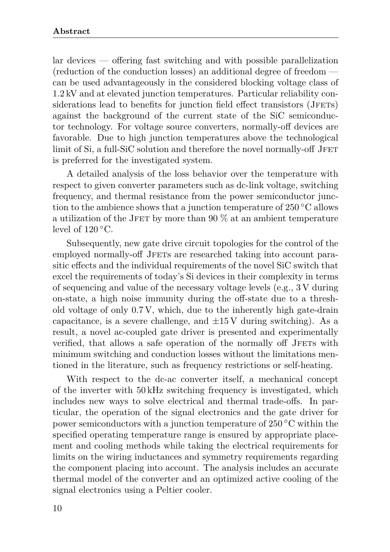lar devices — offering fast switching and with possible parallelization (reduction of the conduction losses) an additional degree of freedom can be used advantageously in the considered blocking voltage class of 1.2 kV and at elevated junction temperatures. Particular reliability considerations lead to benefits for junction field effect transistors (JFETs) against the background of the current state of the SiC semiconductor technology. For voltage source converters, normally-off devices are favorable. Due to high junction temperatures above the technological limit of Si, a full-SiC solution and therefore the novel normally-off JFET is preferred for the investigated system.

A detailed analysis of the loss behavior over the temperature with respect to given converter parameters such as dc-link voltage, switching frequency, and thermal resistance from the power semiconductor junction to the ambience shows that a junction temperature of  $250\text{ °C}$  allows a utilization of the JFET by more than 90  $\%$  at an ambient temperature level of  $120\,^{\circ}\mathrm{C}$ .

Subsequently, new gate drive circuit topologies for the control of the employed normally-off JFETs are researched taking into account parasitic effects and the individual requirements of the novel SiC switch that excel the requirements of today's Si devices in their complexity in terms of sequencing and value of the necessary voltage levels (e.g., 3 V during on-state, a high noise immunity during the off-state due to a threshold voltage of only 0.7 V, which, due to the inherently high gate-drain capacitance, is a severe challenge, and  $\pm 15$  V during switching). As a result, a novel ac-coupled gate driver is presented and experimentally verified, that allows a safe operation of the normally off JFETs with minimum switching and conduction losses without the limitations mentioned in the literature, such as frequency restrictions or self-heating.

With respect to the dc-ac converter itself, a mechanical concept of the inverter with 50 kHz switching frequency is investigated, which includes new ways to solve electrical and thermal trade-offs. In particular, the operation of the signal electronics and the gate driver for power semiconductors with a junction temperature of 250 ◦C within the specified operating temperature range is ensured by appropriate placement and cooling methods while taking the electrical requirements for limits on the wiring inductances and symmetry requirements regarding the component placing into account. The analysis includes an accurate thermal model of the converter and an optimized active cooling of the signal electronics using a Peltier cooler.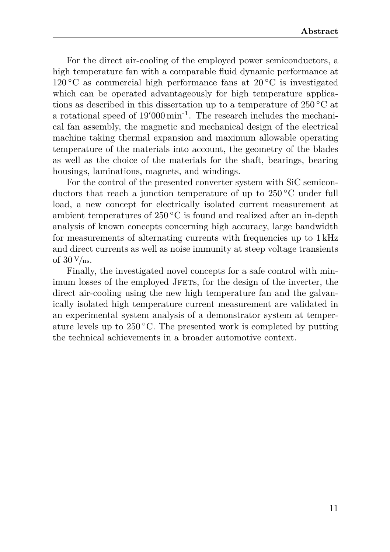For the direct air-cooling of the employed power semiconductors, a high temperature fan with a comparable fluid dynamic performance at  $120\degree C$  as commercial high performance fans at  $20\degree C$  is investigated which can be operated advantageously for high temperature applications as described in this dissertation up to a temperature of 250 ◦C at a rotational speed of  $19'000 \,\mathrm{min}^{-1}$ . The research includes the mechanical fan assembly, the magnetic and mechanical design of the electrical machine taking thermal expansion and maximum allowable operating temperature of the materials into account, the geometry of the blades as well as the choice of the materials for the shaft, bearings, bearing housings, laminations, magnets, and windings.

For the control of the presented converter system with SiC semiconductors that reach a junction temperature of up to 250 ◦C under full load, a new concept for electrically isolated current measurement at ambient temperatures of  $250\degree C$  is found and realized after an in-depth analysis of known concepts concerning high accuracy, large bandwidth for measurements of alternating currents with frequencies up to 1 kHz and direct currents as well as noise immunity at steep voltage transients of  $30 \text{ V}/\text{ns}$ .

Finally, the investigated novel concepts for a safe control with minimum losses of the employed JFETs, for the design of the inverter, the direct air-cooling using the new high temperature fan and the galvanically isolated high temperature current measurement are validated in an experimental system analysis of a demonstrator system at temperature levels up to  $250^{\circ}$ C. The presented work is completed by putting the technical achievements in a broader automotive context.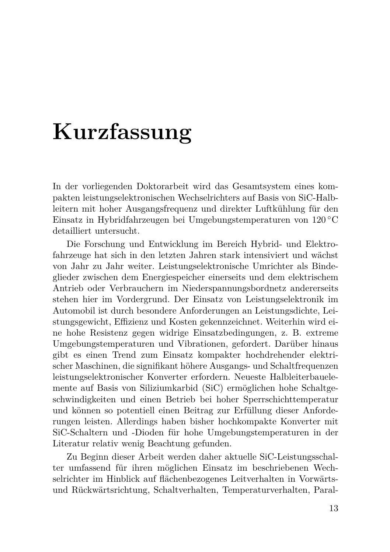## **Kurzfassung**

In der vorliegenden Doktorarbeit wird das Gesamtsystem eines kompakten leistungselektronischen Wechselrichters auf Basis von SiC-Halbleitern mit hoher Ausgangsfrequenz und direkter Luftkühlung für den Einsatz in Hybridfahrzeugen bei Umgebungstemperaturen von 120 ◦C detailliert untersucht.

Die Forschung und Entwicklung im Bereich Hybrid- und Elektrofahrzeuge hat sich in den letzten Jahren stark intensiviert und wächst von Jahr zu Jahr weiter. Leistungselektronische Umrichter als Bindeglieder zwischen dem Energiespeicher einerseits und dem elektrischem Antrieb oder Verbrauchern im Niederspannungsbordnetz andererseits stehen hier im Vordergrund. Der Einsatz von Leistungselektronik im Automobil ist durch besondere Anforderungen an Leistungsdichte, Leistungsgewicht, Effizienz und Kosten gekennzeichnet. Weiterhin wird eine hohe Resistenz gegen widrige Einsatzbedingungen, z. B. extreme Umgebungstemperaturen und Vibrationen, gefordert. Darüber hinaus gibt es einen Trend zum Einsatz kompakter hochdrehender elektrischer Maschinen, die signifikant höhere Ausgangs- und Schaltfrequenzen leistungselektronischer Konverter erfordern. Neueste Halbleiterbauelemente auf Basis von Siliziumkarbid (SiC) ermöglichen hohe Schaltgeschwindigkeiten und einen Betrieb bei hoher Sperrschichttemperatur und können so potentiell einen Beitrag zur Erfüllung dieser Anforderungen leisten. Allerdings haben bisher hochkompakte Konverter mit SiC-Schaltern und -Dioden für hohe Umgebungstemperaturen in der Literatur relativ wenig Beachtung gefunden.

Zu Beginn dieser Arbeit werden daher aktuelle SiC-Leistungsschalter umfassend für ihren möglichen Einsatz im beschriebenen Wechselrichter im Hinblick auf flächenbezogenes Leitverhalten in Vorwärtsund Rückwärtsrichtung, Schaltverhalten, Temperaturverhalten, Paral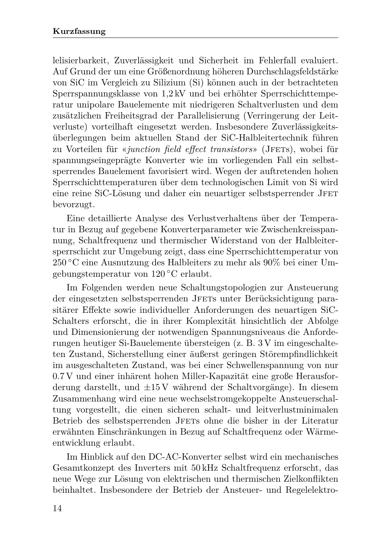lelisierbarkeit, Zuverlässigkeit und Sicherheit im Fehlerfall evaluiert. Auf Grund der um eine Größenordnung höheren Durchschlagsfeldstärke von SiC im Vergleich zu Silizium (Si) können auch in der betrachteten Sperrspannungsklasse von 1,2 kV und bei erhöhter Sperrschichttemperatur unipolare Bauelemente mit niedrigeren Schaltverlusten und dem zusätzlichen Freiheitsgrad der Parallelisierung (Verringerung der Leitverluste) vorteilhaft eingesetzt werden. Insbesondere Zuverlässigkeitsüberlegungen beim aktuellen Stand der SiC-Halbleitertechnik führen zu Vorteilen für «*junction field effect transistors*» (JFETs), wobei für spannungseingeprägte Konverter wie im vorliegenden Fall ein selbstsperrendes Bauelement favorisiert wird. Wegen der auftretenden hohen Sperrschichttemperaturen über dem technologischen Limit von Si wird eine reine SiC-Lösung und daher ein neuartiger selbstsperrender JFET bevorzugt.

Eine detaillierte Analyse des Verlustverhaltens über der Temperatur in Bezug auf gegebene Konverterparameter wie Zwischenkreisspannung, Schaltfrequenz und thermischer Widerstand von der Halbleitersperrschicht zur Umgebung zeigt, dass eine Sperrschichttemperatur von 250 ◦C eine Ausnutzung des Halbleiters zu mehr als 90% bei einer Umgebungstemperatur von 120 ◦C erlaubt.

Im Folgenden werden neue Schaltungstopologien zur Ansteuerung der eingesetzten selbstsperrenden JFETs unter Berücksichtigung parasitärer Effekte sowie individueller Anforderungen des neuartigen SiC-Schalters erforscht, die in ihrer Komplexität hinsichtlich der Abfolge und Dimensionierung der notwendigen Spannungsniveaus die Anforderungen heutiger Si-Bauelemente übersteigen (z. B. 3 V im eingeschalteten Zustand, Sicherstellung einer äußerst geringen Störempfindlichkeit im ausgeschalteten Zustand, was bei einer Schwellenspannung von nur 0.7 V und einer inhärent hohen Miller-Kapazität eine große Herausforderung darstellt, und ±15 V während der Schaltvorgänge). In diesem Zusammenhang wird eine neue wechselstromgekoppelte Ansteuerschaltung vorgestellt, die einen sicheren schalt- und leitverlustminimalen Betrieb des selbstsperrenden JFETs ohne die bisher in der Literatur erwähnten Einschränkungen in Bezug auf Schaltfrequenz oder Wärmeentwicklung erlaubt.

Im Hinblick auf den DC-AC-Konverter selbst wird ein mechanisches Gesamtkonzept des Inverters mit 50 kHz Schaltfrequenz erforscht, das neue Wege zur Lösung von elektrischen und thermischen Zielkonflikten beinhaltet. Insbesondere der Betrieb der Ansteuer- und Regelelektro